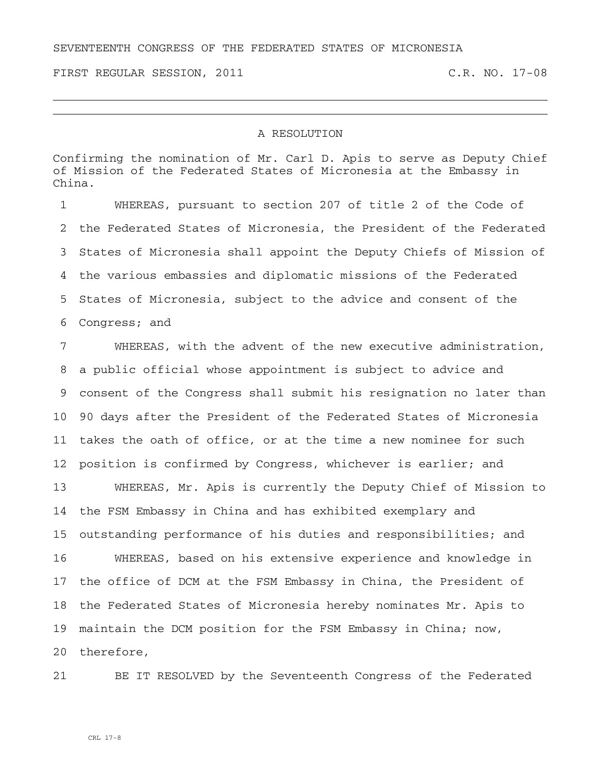SEVENTEENTH CONGRESS OF THE FEDERATED STATES OF MICRONESIA

FIRST REGULAR SESSION, 2011 C.R. NO. 17-08

## A RESOLUTION

Confirming the nomination of Mr. Carl D. Apis to serve as Deputy Chief of Mission of the Federated States of Micronesia at the Embassy in China.

1 WHEREAS, pursuant to section 207 of title 2 of the Code of 2 the Federated States of Micronesia, the President of the Federated 3 States of Micronesia shall appoint the Deputy Chiefs of Mission of 4 the various embassies and diplomatic missions of the Federated 5 States of Micronesia, subject to the advice and consent of the 6 Congress; and

7 WHEREAS, with the advent of the new executive administration, 8 a public official whose appointment is subject to advice and 9 consent of the Congress shall submit his resignation no later than 10 90 days after the President of the Federated States of Micronesia 11 takes the oath of office, or at the time a new nominee for such 12 position is confirmed by Congress, whichever is earlier; and

13 WHEREAS, Mr. Apis is currently the Deputy Chief of Mission to 14 the FSM Embassy in China and has exhibited exemplary and 15 outstanding performance of his duties and responsibilities; and

16 WHEREAS, based on his extensive experience and knowledge in 17 the office of DCM at the FSM Embassy in China, the President of 18 the Federated States of Micronesia hereby nominates Mr. Apis to 19 maintain the DCM position for the FSM Embassy in China; now,

20 therefore,

21 BE IT RESOLVED by the Seventeenth Congress of the Federated